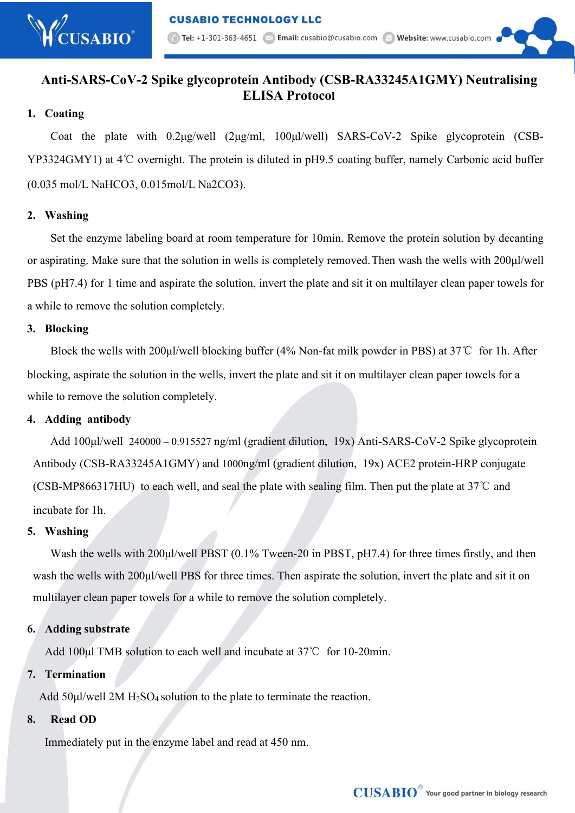# **Anti-SARS-CoV-2 Spike glycoprotein Antibody (CSB-RA33245A1GMY) Neutralising ELISA Protocol**

# **1. Coating**

Coat the plate with 0.2μg/well (2μg/ml, 100μl/well) SARS-CoV-2 Spike glycoprotein (CSB- YP3324GMY1) at 4℃ overnight. The protein is diluted in pH9.5 coating buffer, namely Carbonic acid buffer (0.035 mol/L NaHCO3, 0.015mol/L Na2CO3).

# **2. Washing**

Set the enzyme labeling board at room temperature for 10min. Remove the protein solution by decanting or aspirating. Make sure that the solution in wells is completely removed.Then wash the wells with 200μl/well PBS (pH7.4) for 1 time and aspirate the solution, invert the plate and sit it on multilayer clean paper towels for a while to remove the solution completely.

# **3. Blocking**

Block the wells with 200μl/well blocking buffer (4% Non-fat milk powderin PBS) at 37℃ for 1h. After blocking, aspirate the solution in the wells, invert the plate and sit it on multilayer clean paper towels for a while to remove the solution completely.

#### **4. Adding antibody**

Add 100ul/well 240000 – 0.915527 ng/ml (gradient dilution, 19x) Anti-SARS-CoV-2 Spike glycoprotein Antibody (CSB-RA33245A1GMY) and 1000ng/ml (gradient dilution, 19x) ACE2 protein-HRP conjugate (CSB-MP866317HU) to each well, and seal the plate with sealing film. Then put the plate at 37℃ and incubate for 1h.

#### **5. Washing**

Wash the wells with 200μl/well PBST (0.1% Tween-20 in PBST, pH7.4) for three times firstly, and then wash the wells with 200µl/well PBS for three times. Then aspirate the solution, invert the plate and sit it on multilayer clean paper towels for a while to remove the solution completely.

# **6. Adding substrate**

Add 100μl TMB solution to each well and incubate at 37℃ for 10-20min.

#### **7. Termination**

Add 50μl/well 2M H2SO<sup>4</sup> solution to the plate to terminate the reaction.

# **8. Read OD**

Immediately put in the enzyme label and read at 450 nm.